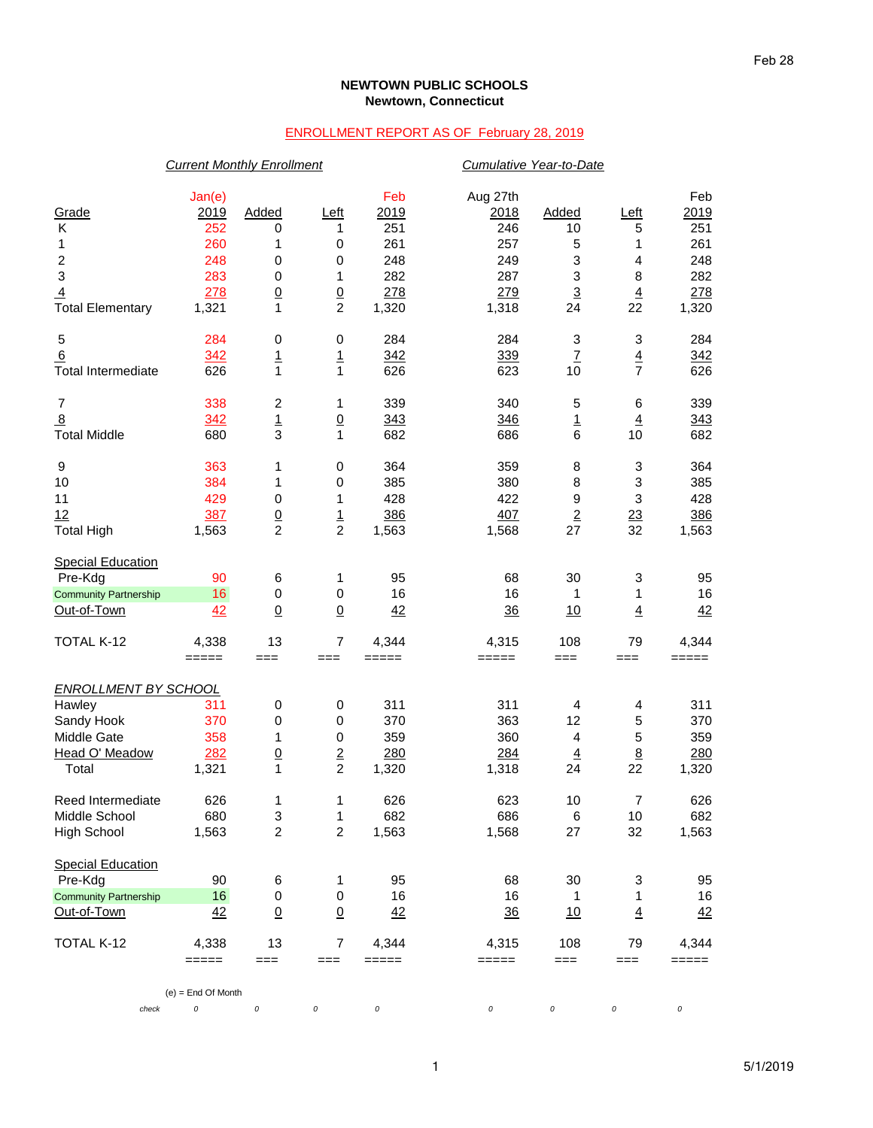## **NEWTOWN PUBLIC SCHOOLS Newtown, Connecticut**

## ENROLLMENT REPORT AS OF February 28, 2019

|                              | <b>Current Monthly Enrollment</b> |                         |                          |                                                           |                | Cumulative Year-to-Date  |                           |          |  |  |
|------------------------------|-----------------------------------|-------------------------|--------------------------|-----------------------------------------------------------|----------------|--------------------------|---------------------------|----------|--|--|
|                              | Jan(e)                            |                         |                          | Feb                                                       | Aug 27th       |                          |                           | Feb      |  |  |
| Grade                        | <u>2019</u>                       | Added                   | Left                     | 2019                                                      | <u> 2018</u>   | Added                    | Left                      | 2019     |  |  |
| Κ                            | 252                               | 0                       | 1                        | 251                                                       | 246            | 10                       | 5                         | 251      |  |  |
| 1                            | 260                               | 1                       | $\,0\,$                  | 261                                                       | 257            | 5                        | 1                         | 261      |  |  |
| 2                            | 248                               | 0                       | 0                        | 248                                                       | 249            | 3                        | 4                         | 248      |  |  |
| 3                            | 283                               | 0                       | 1                        | 282                                                       | 287            | 3                        | 8                         | 282      |  |  |
| $\overline{4}$               | 278                               | $\underline{0}$         | $\underline{0}$          | 278                                                       | 279            | $\overline{3}$           | $\underline{4}$           | 278      |  |  |
| <b>Total Elementary</b>      | 1,321                             | $\mathbf{1}$            | $\overline{c}$           | 1,320                                                     | 1,318          | 24                       | 22                        | 1,320    |  |  |
| $\mathbf 5$                  | 284                               | $\pmb{0}$               | $\,0\,$                  | 284                                                       | 284            | 3                        | 3                         | 284      |  |  |
| 6                            | 342                               | $\overline{1}$          | $\mathbf{1}$             | 342                                                       | 339            | $\underline{\mathsf{7}}$ | $\overline{4}$            | 342      |  |  |
| <b>Total Intermediate</b>    | 626                               | $\mathbf{1}$            | $\mathbf{1}$             | 626                                                       | 623            | 10                       | $\overline{7}$            | 626      |  |  |
| $\overline{7}$               | 338                               | $\overline{\mathbf{c}}$ | 1                        | 339                                                       | 340            | 5                        | 6                         | 339      |  |  |
| $\overline{8}$               | 342                               | $\overline{1}$          | $\underline{0}$          | 343                                                       | 346            | <u>1</u>                 | $\overline{4}$            | 343      |  |  |
| <b>Total Middle</b>          | 680                               | $\mathsf 3$             | $\mathbf{1}$             | 682                                                       | 686            | 6                        | 10                        | 682      |  |  |
| 9                            | 363                               | 1                       | $\,0\,$                  | 364                                                       | 359            | 8                        | $\ensuremath{\mathsf{3}}$ | 364      |  |  |
| 10                           | 384                               | 1                       | 0                        | 385                                                       | 380            | 8                        | $\ensuremath{\mathsf{3}}$ | 385      |  |  |
| 11                           | 429                               | $\pmb{0}$               | 1                        | 428                                                       | 422            | 9                        | 3                         | 428      |  |  |
| 12                           | 387                               | $\frac{0}{2}$           | $\frac{1}{2}$            | 386                                                       | 407            | $\underline{2}$          | 23                        | 386      |  |  |
| <b>Total High</b>            | 1,563                             |                         |                          | 1,563                                                     | 1,568          | 27                       | 32                        | 1,563    |  |  |
| <b>Special Education</b>     |                                   |                         |                          |                                                           |                |                          |                           |          |  |  |
| Pre-Kdg                      | 90                                | 6                       | 1                        | 95                                                        | 68             | 30                       | 3                         | 95       |  |  |
| <b>Community Partnership</b> | 16                                | $\pmb{0}$               | 0                        | 16                                                        | 16             | 1                        | 1                         | 16       |  |  |
| Out-of-Town                  | 42                                | $\underline{0}$         | $\underline{0}$          | 42                                                        | 36             | 10                       | $\overline{4}$            | 42       |  |  |
| TOTAL K-12                   | 4,338                             | 13                      | $\overline{7}$           | 4,344                                                     | 4,315          | 108                      | 79                        | 4,344    |  |  |
|                              | $=====$                           | $==$                    | $==$                     | $=====$                                                   | =====          | $==$                     | $==$                      | =====    |  |  |
| <b>ENROLLMENT BY SCHOOL</b>  |                                   |                         |                          |                                                           |                |                          |                           |          |  |  |
| Hawley                       | 311                               | $\pmb{0}$               | $\,0\,$                  | 311                                                       | 311            | 4                        | 4                         | 311      |  |  |
| Sandy Hook                   | 370                               | $\mathbf 0$             | 0                        | 370                                                       | 363            | 12                       | 5                         | 370      |  |  |
| Middle Gate                  | 358                               | 1                       | 0                        | 359                                                       | 360            | 4                        | 5                         | 359      |  |  |
| Head O' Meadow               | 282                               | $\underline{0}$         | $\overline{2}$           | 280                                                       | 284            | $\overline{4}$           | 8                         | 280      |  |  |
| Total                        | 1,321                             | $\mathbf{1}$            | $\overline{c}$           | 1,320                                                     | 1,318          | 24                       | 22                        | 1,320    |  |  |
| Reed Intermediate            | 626                               | 1                       | 1                        | 626                                                       | 623            | 10                       | $\overline{\mathcal{I}}$  | 626      |  |  |
| Middle School                | 680                               | 3                       | $\mathbf{1}$             | 682                                                       | 686            | $\,6$                    | 10                        | 682      |  |  |
| <b>High School</b>           | 1,563                             | $\overline{c}$          | $\overline{c}$           | 1,563                                                     | 1,568          | 27                       | 32                        | 1,563    |  |  |
| <b>Special Education</b>     |                                   |                         |                          |                                                           |                |                          |                           |          |  |  |
| Pre-Kdg                      | 90                                | 6                       | $\mathbf{1}$             | 95                                                        | 68             | 30                       | 3                         | 95       |  |  |
| <b>Community Partnership</b> | 16                                | 0                       | 0                        | 16                                                        | 16             | 1                        | 1                         | 16       |  |  |
| Out-of-Town                  | 42                                | $\underline{0}$         | $\underline{0}$          | 42                                                        | $\frac{36}{5}$ | 10                       | $\overline{4}$            | 42       |  |  |
| TOTAL K-12                   | 4,338                             | 13                      | $\overline{\mathcal{I}}$ | 4,344                                                     | 4,315          | 108                      | 79                        | 4,344    |  |  |
|                              | $== == ==$                        | $==$                    | $==$                     | $\qquad \qquad \equiv \equiv \equiv \equiv \equiv \equiv$ | =====          | $==$                     | $==$                      | $=====$  |  |  |
|                              | $(e)$ = End Of Month              |                         |                          |                                                           |                |                          |                           |          |  |  |
| check                        | 0                                 | $\cal O$                | 0                        | $\cal O$                                                  | 0              | 0                        | 0                         | $\it{O}$ |  |  |